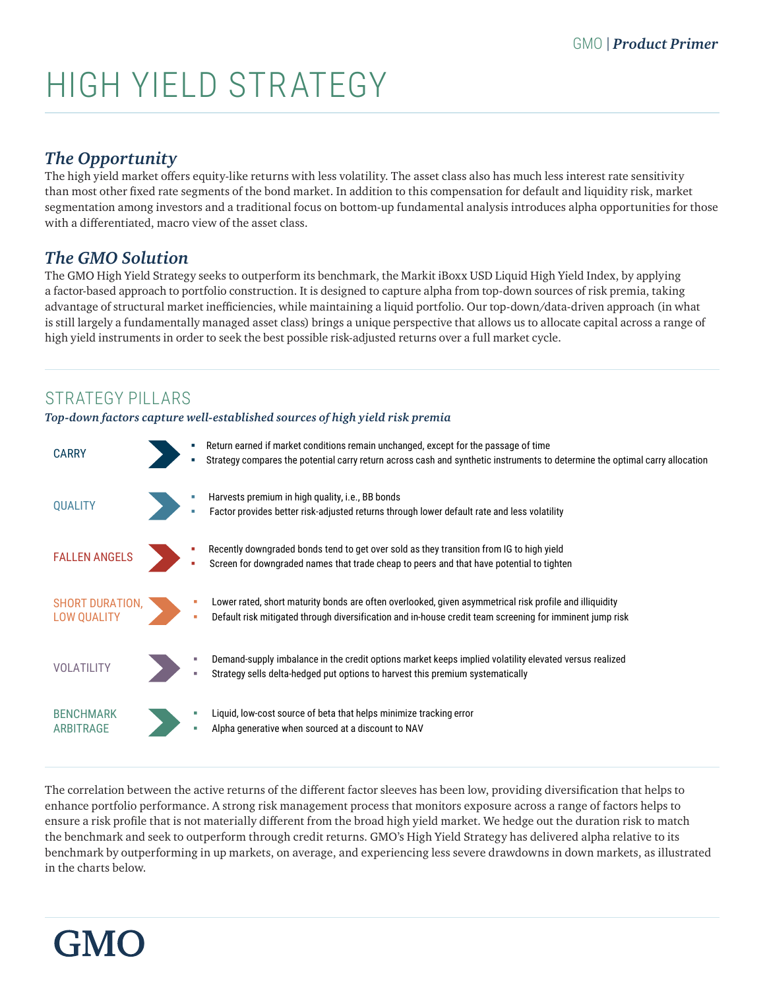# HIGH YIELD STRATEGY

# *The Opportunity*

The high yield market offers equity-like returns with less volatility. The asset class also has much less interest rate sensitivity than most other fixed rate segments of the bond market. In addition to this compensation for default and liquidity risk, market segmentation among investors and a traditional focus on bottom-up fundamental analysis introduces alpha opportunities for those with a differentiated, macro view of the asset class.

## *The GMO Solution*

The GMO High Yield Strategy seeks to outperform its benchmark, the Markit iBoxx USD Liquid High Yield Index, by applying a factor-based approach to portfolio construction. It is designed to capture alpha from top-down sources of risk premia, taking advantage of structural market inefficiencies, while maintaining a liquid portfolio. Our top-down/data-driven approach (in what is still largely a fundamentally managed asset class) brings a unique perspective that allows us to allocate capital across a range of high yield instruments in order to seek the best possible risk-adjusted returns over a full market cycle.

## STRATEGY PILLARS

### *Top-down factors capture well-established sources of high yield risk premia*



The correlation between the active returns of the different factor sleeves has been low, providing diversification that helps to enhance portfolio performance. A strong risk management process that monitors exposure across a range of factors helps to ensure a risk profile that is not materially different from the broad high yield market. We hedge out the duration risk to match the benchmark and seek to outperform through credit returns. GMO's High Yield Strategy has delivered alpha relative to its benchmark by outperforming in up markets, on average, and experiencing less severe drawdowns in down markets, as illustrated in the charts below.

# GMO